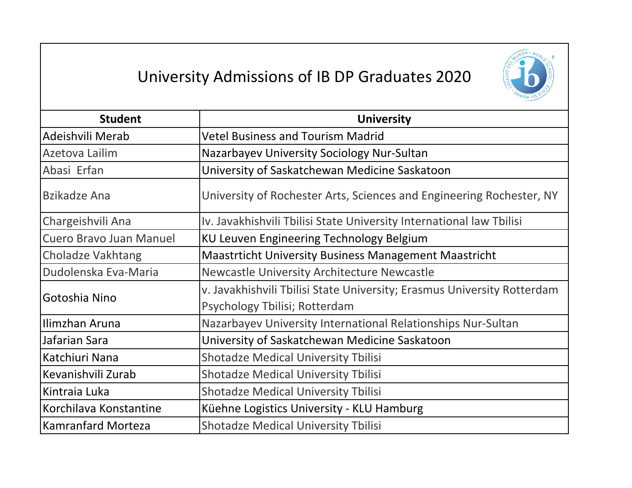## University Admissions of IB DP Graduates 2020



| <b>Student</b>           | <b>University</b>                                                       |
|--------------------------|-------------------------------------------------------------------------|
| Adeishvili Merab         | <b>Vetel Business and Tourism Madrid</b>                                |
| Azetova Lailim           | Nazarbayev University Sociology Nur-Sultan                              |
| Abasi Erfan              | University of Saskatchewan Medicine Saskatoon                           |
| <b>Bzikadze Ana</b>      | University of Rochester Arts, Sciences and Engineering Rochester, NY    |
| Chargeishvili Ana        | Iv. Javakhishvili Tbilisi State University International law Tbilisi    |
| Cuero Bravo Juan Manuel  | KU Leuven Engineering Technology Belgium                                |
| <b>Choladze Vakhtang</b> | <b>Maastrticht University Business Management Maastricht</b>            |
| Dudolenska Eva-Maria     | Newcastle University Architecture Newcastle                             |
| Gotoshia Nino            | v. Javakhishvili Tbilisi State University; Erasmus University Rotterdam |
|                          | Psychology Tbilisi; Rotterdam                                           |
| Ilimzhan Aruna           | Nazarbayev University International Relationships Nur-Sultan            |
| Jafarian Sara            | University of Saskatchewan Medicine Saskatoon                           |
| Katchiuri Nana           | <b>Shotadze Medical University Tbilisi</b>                              |
| Kevanishvili Zurab       | <b>Shotadze Medical University Tbilisi</b>                              |
| Kintraia Luka            | <b>Shotadze Medical University Tbilisi</b>                              |
| Korchilava Konstantine   | Küehne Logistics University - KLU Hamburg                               |
| Kamranfard Morteza       | <b>Shotadze Medical University Tbilisi</b>                              |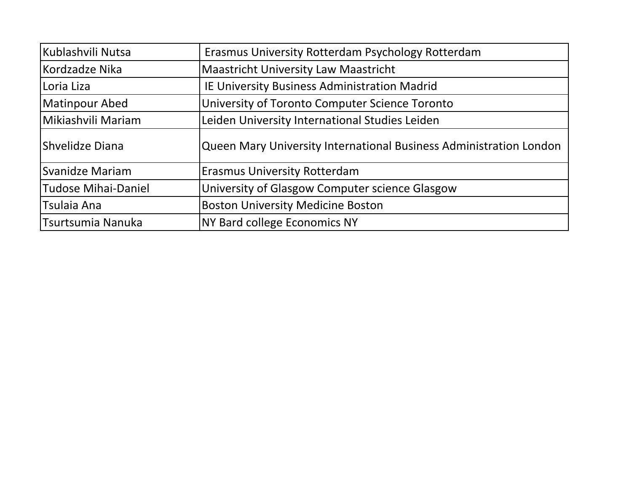| Kublashvili Nutsa      | Erasmus University Rotterdam Psychology Rotterdam                  |
|------------------------|--------------------------------------------------------------------|
| Kordzadze Nika         | <b>Maastricht University Law Maastricht</b>                        |
| Loria Liza             | IE University Business Administration Madrid                       |
| Matinpour Abed         | University of Toronto Computer Science Toronto                     |
| Mikiashvili Mariam     | Leiden University International Studies Leiden                     |
| <b>Shvelidze Diana</b> | Queen Mary University International Business Administration London |
| Svanidze Mariam        | <b>Erasmus University Rotterdam</b>                                |
| Tudose Mihai-Daniel    | University of Glasgow Computer science Glasgow                     |
| <b>Tsulaia Ana</b>     | <b>Boston University Medicine Boston</b>                           |
| Tsurtsumia Nanuka      | <b>NY Bard college Economics NY</b>                                |